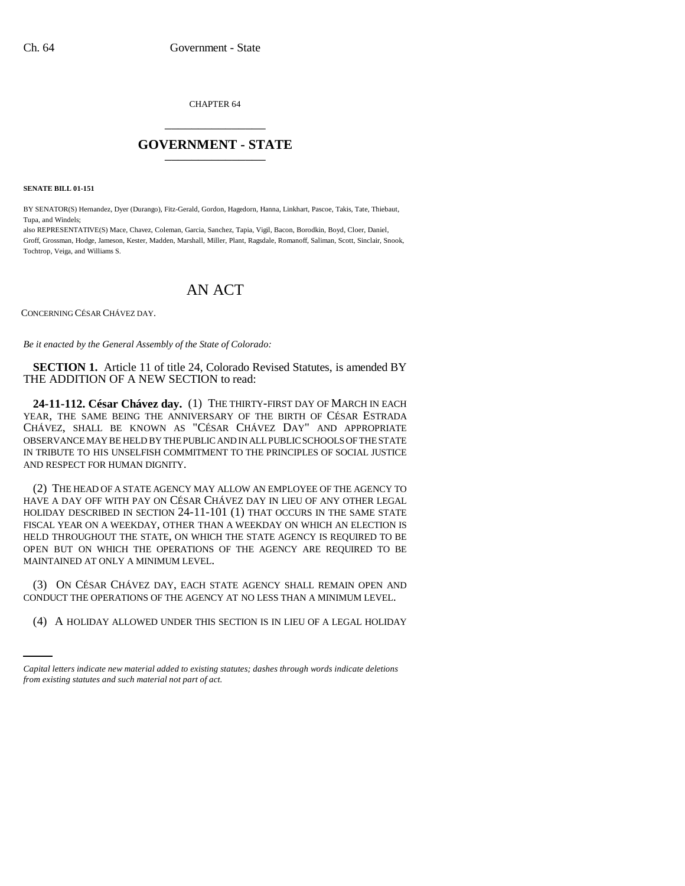CHAPTER 64 \_\_\_\_\_\_\_\_\_\_\_\_\_\_\_

## **GOVERNMENT - STATE** \_\_\_\_\_\_\_\_\_\_\_\_\_\_\_

**SENATE BILL 01-151**

BY SENATOR(S) Hernandez, Dyer (Durango), Fitz-Gerald, Gordon, Hagedorn, Hanna, Linkhart, Pascoe, Takis, Tate, Thiebaut, Tupa, and Windels;

also REPRESENTATIVE(S) Mace, Chavez, Coleman, Garcia, Sanchez, Tapia, Vigil, Bacon, Borodkin, Boyd, Cloer, Daniel, Groff, Grossman, Hodge, Jameson, Kester, Madden, Marshall, Miller, Plant, Ragsdale, Romanoff, Saliman, Scott, Sinclair, Snook, Tochtrop, Veiga, and Williams S.

## AN ACT

CONCERNING CÉSAR CHÁVEZ DAY.

*Be it enacted by the General Assembly of the State of Colorado:*

**SECTION 1.** Article 11 of title 24, Colorado Revised Statutes, is amended BY THE ADDITION OF A NEW SECTION to read:

**24-11-112. César Chávez day.** (1) THE THIRTY-FIRST DAY OF MARCH IN EACH YEAR, THE SAME BEING THE ANNIVERSARY OF THE BIRTH OF CÉSAR ESTRADA CHÁVEZ, SHALL BE KNOWN AS "CÉSAR CHÁVEZ DAY" AND APPROPRIATE OBSERVANCE MAY BE HELD BY THE PUBLIC AND IN ALL PUBLIC SCHOOLS OF THE STATE IN TRIBUTE TO HIS UNSELFISH COMMITMENT TO THE PRINCIPLES OF SOCIAL JUSTICE AND RESPECT FOR HUMAN DIGNITY.

(2) THE HEAD OF A STATE AGENCY MAY ALLOW AN EMPLOYEE OF THE AGENCY TO HAVE A DAY OFF WITH PAY ON CÉSAR CHÁVEZ DAY IN LIEU OF ANY OTHER LEGAL HOLIDAY DESCRIBED IN SECTION 24-11-101 (1) THAT OCCURS IN THE SAME STATE FISCAL YEAR ON A WEEKDAY, OTHER THAN A WEEKDAY ON WHICH AN ELECTION IS HELD THROUGHOUT THE STATE, ON WHICH THE STATE AGENCY IS REQUIRED TO BE OPEN BUT ON WHICH THE OPERATIONS OF THE AGENCY ARE REQUIRED TO BE MAINTAINED AT ONLY A MINIMUM LEVEL.

CONDUCT THE OPERATIONS OF THE AGENCY AT NO LESS THAN A MINIMUM LEVEL. (3) ON CÉSAR CHÁVEZ DAY, EACH STATE AGENCY SHALL REMAIN OPEN AND

(4) A HOLIDAY ALLOWED UNDER THIS SECTION IS IN LIEU OF A LEGAL HOLIDAY

*Capital letters indicate new material added to existing statutes; dashes through words indicate deletions from existing statutes and such material not part of act.*